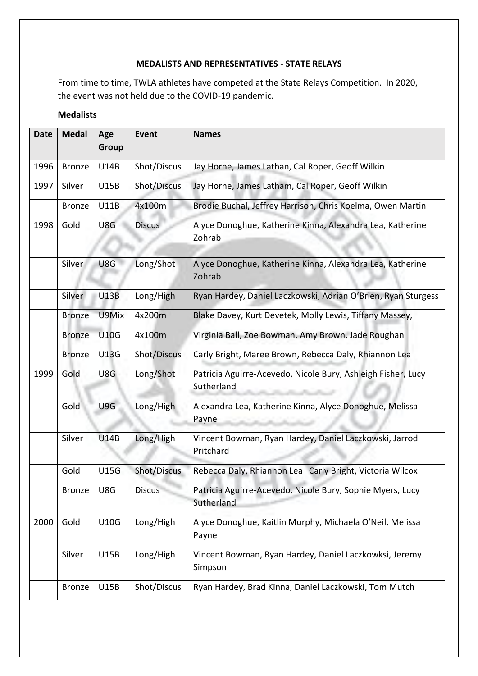## **MEDALISTS AND REPRESENTATIVES - STATE RELAYS**

From time to time, TWLA athletes have competed at the State Relays Competition. In 2020, the event was not held due to the COVID-19 pandemic.

## **Medalists**

| <b>Date</b> | <b>Medal</b>  | Age<br>Group | <b>Event</b>  | <b>Names</b>                                                               |
|-------------|---------------|--------------|---------------|----------------------------------------------------------------------------|
| 1996        | <b>Bronze</b> | U14B         | Shot/Discus   | Jay Horne, James Lathan, Cal Roper, Geoff Wilkin                           |
| 1997        | Silver        | U15B         | Shot/Discus   | Jay Horne, James Latham, Cal Roper, Geoff Wilkin                           |
|             | <b>Bronze</b> | <b>U11B</b>  | 4x100m        | Brodie Buchal, Jeffrey Harrison, Chris Koelma, Owen Martin                 |
| 1998        | Gold          | U8G          | <b>Discus</b> | Alyce Donoghue, Katherine Kinna, Alexandra Lea, Katherine<br>Zohrab        |
|             | Silver        | U8G          | Long/Shot     | Alyce Donoghue, Katherine Kinna, Alexandra Lea, Katherine<br>Zohrab        |
|             | Silver        | <b>U13B</b>  | Long/High     | Ryan Hardey, Daniel Laczkowski, Adrian O'Brien, Ryan Sturgess              |
|             | <b>Bronze</b> | U9Mix        | 4x200m        | Blake Davey, Kurt Devetek, Molly Lewis, Tiffany Massey,                    |
|             | <b>Bronze</b> | <b>U10G</b>  | 4x100m        | Virginia Ball, Zoe Bowman, Amy Brown, Jade Roughan                         |
|             | <b>Bronze</b> | <b>U13G</b>  | Shot/Discus   | Carly Bright, Maree Brown, Rebecca Daly, Rhiannon Lea                      |
| 1999        | Gold          | U8G          | Long/Shot     | Patricia Aguirre-Acevedo, Nicole Bury, Ashleigh Fisher, Lucy<br>Sutherland |
|             | Gold          | U9G          | Long/High     | Alexandra Lea, Katherine Kinna, Alyce Donoghue, Melissa<br>Payne           |
|             | Silver        | <b>U14B</b>  | Long/High     | Vincent Bowman, Ryan Hardey, Daniel Laczkowski, Jarrod<br>Pritchard        |
|             | Gold          | U15G         | Shot/Discus   | Rebecca Daly, Rhiannon Lea Carly Bright, Victoria Wilcox                   |
|             | <b>Bronze</b> | U8G          | <b>Discus</b> | Patricia Aguirre-Acevedo, Nicole Bury, Sophie Myers, Lucy<br>Sutherland    |
| 2000        | Gold          | <b>U10G</b>  | Long/High     | Alyce Donoghue, Kaitlin Murphy, Michaela O'Neil, Melissa<br>Payne          |
|             | Silver        | <b>U15B</b>  | Long/High     | Vincent Bowman, Ryan Hardey, Daniel Laczkowksi, Jeremy<br>Simpson          |
|             | <b>Bronze</b> | <b>U15B</b>  | Shot/Discus   | Ryan Hardey, Brad Kinna, Daniel Laczkowski, Tom Mutch                      |